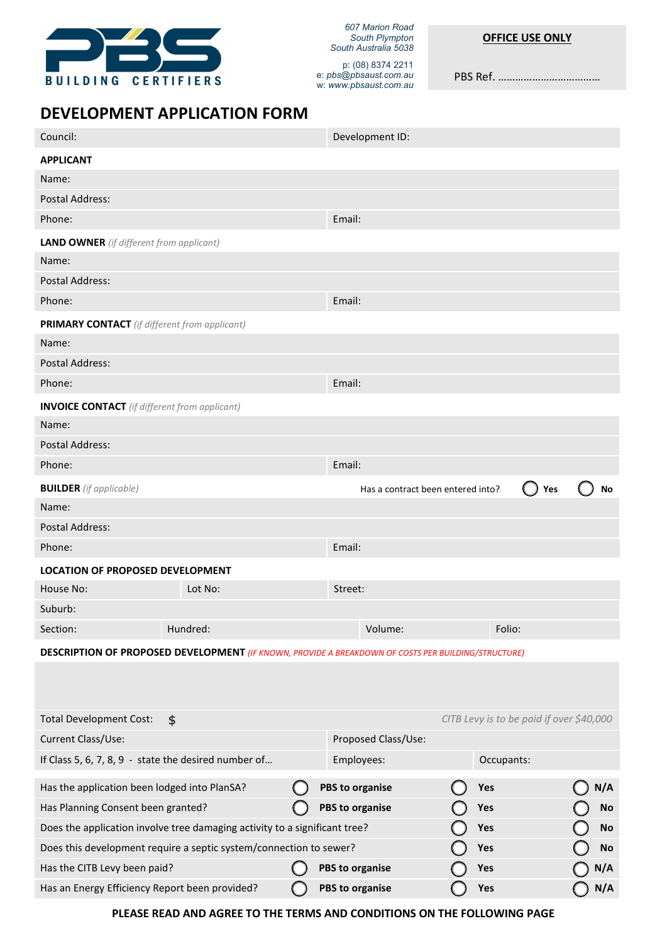

*607 Marion Road South Plympton South Australia 5038* 

PBS Ref. ………………………………

# **DEVELOPMENT APPLICATION FORM**

| Council:                                                                                                   |          |  |                        | Development ID:                   |  |        |                                          |  |           |
|------------------------------------------------------------------------------------------------------------|----------|--|------------------------|-----------------------------------|--|--------|------------------------------------------|--|-----------|
|                                                                                                            |          |  |                        |                                   |  |        |                                          |  |           |
| <b>APPLICANT</b>                                                                                           |          |  |                        |                                   |  |        |                                          |  |           |
| Name:                                                                                                      |          |  |                        |                                   |  |        |                                          |  |           |
| Postal Address:                                                                                            |          |  |                        |                                   |  |        |                                          |  |           |
| Phone:                                                                                                     |          |  | Email:                 |                                   |  |        |                                          |  |           |
| <b>LAND OWNER</b> (if different from applicant)                                                            |          |  |                        |                                   |  |        |                                          |  |           |
| Name:                                                                                                      |          |  |                        |                                   |  |        |                                          |  |           |
| <b>Postal Address:</b>                                                                                     |          |  |                        |                                   |  |        |                                          |  |           |
| Phone:                                                                                                     |          |  | Email:                 |                                   |  |        |                                          |  |           |
| <b>PRIMARY CONTACT</b> (if different from applicant)                                                       |          |  |                        |                                   |  |        |                                          |  |           |
| Name:                                                                                                      |          |  |                        |                                   |  |        |                                          |  |           |
| <b>Postal Address:</b>                                                                                     |          |  |                        |                                   |  |        |                                          |  |           |
| Phone:                                                                                                     |          |  |                        | Email:                            |  |        |                                          |  |           |
| <b>INVOICE CONTACT</b> (if different from applicant)                                                       |          |  |                        |                                   |  |        |                                          |  |           |
| Name:                                                                                                      |          |  |                        |                                   |  |        |                                          |  |           |
| Postal Address:                                                                                            |          |  |                        |                                   |  |        |                                          |  |           |
| Phone:                                                                                                     |          |  | Email:                 |                                   |  |        |                                          |  |           |
| <b>BUILDER</b> (if applicable)                                                                             |          |  |                        | Has a contract been entered into? |  |        | Yes                                      |  | No        |
| Name:                                                                                                      |          |  |                        |                                   |  |        |                                          |  |           |
| <b>Postal Address:</b>                                                                                     |          |  |                        |                                   |  |        |                                          |  |           |
| Phone:                                                                                                     |          |  | Email:                 |                                   |  |        |                                          |  |           |
| <b>LOCATION OF PROPOSED DEVELOPMENT</b>                                                                    |          |  |                        |                                   |  |        |                                          |  |           |
| House No:                                                                                                  | Lot No:  |  | Street:                |                                   |  |        |                                          |  |           |
| Suburb:                                                                                                    |          |  |                        |                                   |  |        |                                          |  |           |
| Section:                                                                                                   | Hundred: |  |                        | Volume:                           |  | Folio: |                                          |  |           |
| <b>DESCRIPTION OF PROPOSED DEVELOPMENT</b> (IF KNOWN, PROVIDE A BREAKDOWN OF COSTS PER BUILDING/STRUCTURE) |          |  |                        |                                   |  |        |                                          |  |           |
|                                                                                                            |          |  |                        |                                   |  |        |                                          |  |           |
|                                                                                                            |          |  |                        |                                   |  |        |                                          |  |           |
| <b>Total Development Cost:</b>                                                                             | \$       |  |                        |                                   |  |        | CITB Levy is to be paid if over \$40,000 |  |           |
| Current Class/Use:                                                                                         |          |  |                        | Proposed Class/Use:               |  |        |                                          |  |           |
| If Class 5, 6, 7, 8, 9 - state the desired number of                                                       |          |  |                        | Occupants:<br>Employees:          |  |        |                                          |  |           |
| Has the application been lodged into PlanSA?                                                               |          |  | <b>PBS to organise</b> |                                   |  | Yes    |                                          |  | N/A       |
| Has Planning Consent been granted?                                                                         |          |  | <b>PBS to organise</b> |                                   |  | Yes    |                                          |  | No        |
| Does the application involve tree damaging activity to a significant tree?                                 |          |  |                        | Yes                               |  |        | No                                       |  |           |
| Does this development require a septic system/connection to sewer?                                         |          |  |                        |                                   |  | Yes    |                                          |  | <b>No</b> |
| Has the CITB Levy been paid?                                                                               |          |  | <b>PBS to organise</b> |                                   |  | Yes    |                                          |  | N/A       |
| Has an Energy Efficiency Report been provided?                                                             |          |  | <b>PBS to organise</b> |                                   |  | Yes    |                                          |  | N/A       |

**PLEASE READ AND AGREE TO THE TERMS AND CONDITIONS ON THE FOLLOWING PAGE**